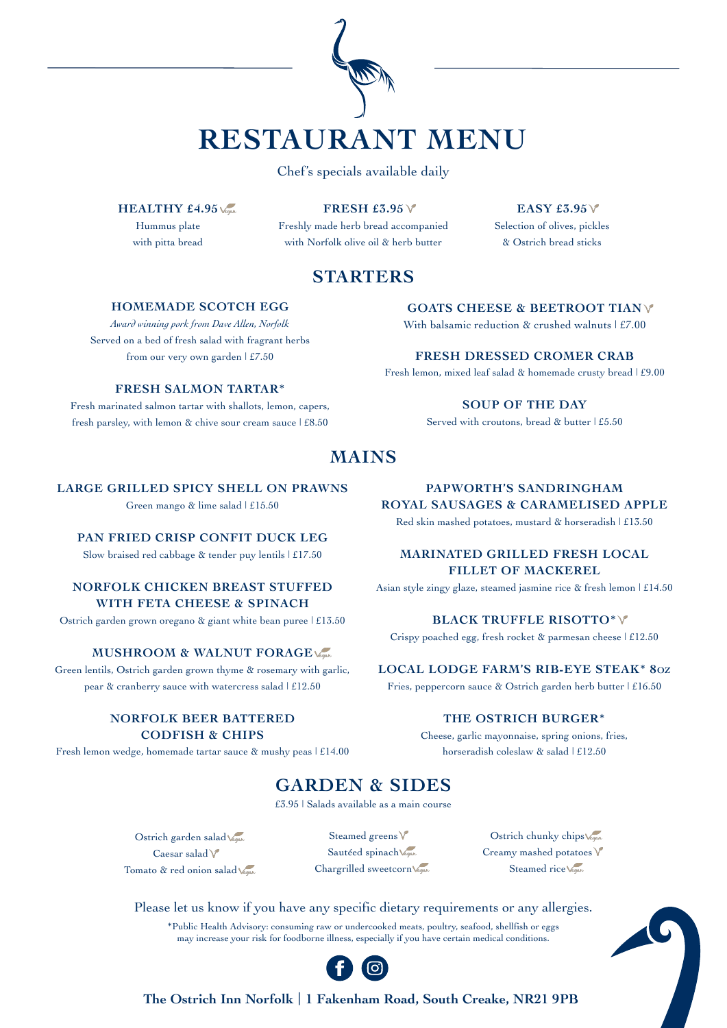

# **STARTERS**

# **MAINS**

## **GARDEN & SIDES**

£3.95 | Salads available as a main course

Ostrich garden salad Vegan Caesar salad  $\sqrt{\ }$ Tomato & red onion salad Vegan

Steamed greens V Sautéed spinach Vegan Chargrilled sweetcorn Vegan

Ostrich chunky chips Vegan Creamy mashed potatoes  $\sqrt{ }$ 

Steamed rice Vegan

Chef's specials available daily

#### **HEALTHY £4.95**

**GOATS CHEESE & BEETROOT TIAN** With balsamic reduction & crushed walnuts | £7.00

**The Ostrich Inn Norfolk** | **1 Fakenham Road, South Creake, NR21 9PB**

**FRESH £3.95**

Freshly made herb bread accompanied with Norfolk olive oil & herb butter

Hummus plate with pitta bread

Fresh marinated salmon tartar with shallots, lemon, capers, fresh parsley, with lemon  $\alpha$  chive sour cream sauce  $\beta$  £8.50

**EASY £3.95** Selection of olives, pickles & Ostrich bread sticks

### **FRESH DRESSED CROMER CRAB**

Fresh lemon, mixed leaf salad & homemade crusty bread | £9.00

#### **SOUP OF THE DAY**

Served with croutons, bread & butter | £5.50

#### **HOMEMADE SCOTCH EGG**

*Award winning pork from Dave Allen, Norfolk* Served on a bed of fresh salad with fragrant herbs from our very own garden | £7.50

#### **FRESH SALMON TARTAR**\*

Cheese, garlic mayonnaise, spring onions, fries, horseradish coleslaw & salad | £12.50

## **LARGE GRILLED SPICY SHELL ON PRAWNS**

Green mango  $\&$  lime salad | £15.50

#### **PAN FRIED CRISP CONFIT DUCK LEG**

Slow braised red cabbage & tender puy lentils | £17.50

## **NORFOLK CHICKEN BREAST STUFFED WITH FETA CHEESE & SPINACH**

Ostrich garden grown oregano & giant white bean puree | £13.50

Please let us know if you have any specific dietary requirements or any allergies. \*Public Health Advisory: consuming raw or undercooked meats, poultry, seafood, shellfish or eggs may increase your risk for foodborne illness, especially if you have certain medical conditions.



### **MUSHROOM & WALNUT FORAGE**

Green lentils, Ostrich garden grown thyme & rosemary with garlic, pear & cranberry sauce with watercress salad | £12.50

### **NORFOLK BEER BATTERED CODFISH & CHIPS**

Fresh lemon wedge, homemade tartar sauce & mushy peas | £14.00

### **PAPWORTH'S SANDRINGHAM ROYAL SAUSAGES & CARAMELISED APPLE**

Red skin mashed potatoes, mustard & horseradish | £13.50

### **MARINATED GRILLED FRESH LOCAL FILLET OF MACKEREL**

Asian style zingy glaze, steamed jasmine rice & fresh lemon | £14.50

### **BLACK TRUFFLE RISOTTO**\*

Crispy poached egg, fresh rocket & parmesan cheese | £12.50

### **LOCAL LODGE FARM'S RIB-EYE STEAK**\* **8OZ**

Fries, peppercorn sauce & Ostrich garden herb butter | £16.50

### **THE OSTRICH BURGER**\*